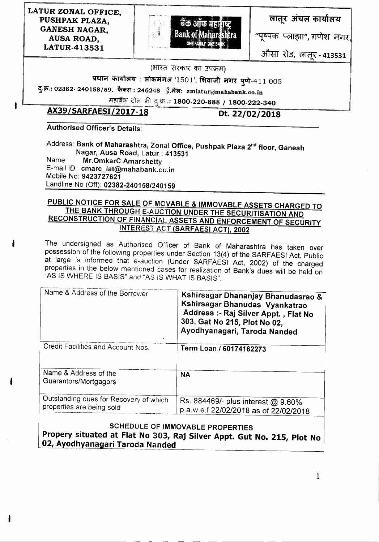LATUR ZONAL OFFICE, PUSHPAK PLAZA, GANESH NAGAR, AUSA ROAD, LATUR-413531



लातूर अंचल कार्यालय

"पूष्पक प्लाझा", गणेश नगर,

3f'h:rr Us, (>ffiR" - 413531 ========~~==~~=-==-===-=-==---~=--=-----=--"~-=--~I

#### (भारत सरकार का उपक्रम)

प्रधान कार्यालय : लोकमंगल '1501', शिवाजी नगर पुणे-411 005

दु.क.: 02382- 240158/59. फैक्स : 246248 ई.मेल: zmlatur@mahabank.co.in

महाबैंक टोल फ्री द्.क्र.**.: 1800-220-888 / 1800-222-340** 

# AX39/SARFAESI/2017-18 Dt.22/02/2018

# Authorised Officer's Details:

Address: Bank of Maharashtra, Zonal Office, Pushpak Plaza 2<sup>nd</sup> floor, Ganeah Nagar, Ausa Road, Latur : 413531 Name: Mr.OmkarC Amarshetty E-mail ID: cmarc\_lat@mahabank.co.in Mobile No: 9423727621 Landline No (Off): *02382-240158/240'159*

## PUBLIC NOTICE FOR SALE OF MOVABLE & IMMOVABLE ASSETS CHARGED TO THE BANK THROUGH E-AUCTION UNDER THE SECURITISATION AND RECONSTRUCTION OF FINANCIAL ASSETS AND ENFORCEMENT OF SECURITY INTEREST ACT (SARFAESI ACT), 2002

The undersigned as Authorised Officer of Bank of Maharashtra has taken over possession of the following properties under Section 13(4) of the SARFAESI Act. Public at large is informed that e-auction (Under SARFAESI Act, 2002) of the charged properties in the below mentioned cases for realization of Bank's dues will be held on "AS IS WHERE IS BASIS" and "AS IS WHAT IS BASIS".

| Name & Address of the Borrower                                      | Kshirsagar Dhananjay Bhanudasrao &<br>Kshirsagar Bhanudas Vyankatrao<br>Address :- Raj Silver Appt., Flat No<br>303, Gat No 215, Plot No 02,<br>Ayodhyanagari, Taroda Nanded |
|---------------------------------------------------------------------|------------------------------------------------------------------------------------------------------------------------------------------------------------------------------|
| Credit Facilities and Account Nos.                                  | Term Loan / 60174162273                                                                                                                                                      |
| Name & Address of the<br>Guarantors/Mortgagors                      | <b>NA</b>                                                                                                                                                                    |
| Outstanding dues for Recovery of which<br>properties are being sold | Rs. 884469/- plus interest @ 9.60%<br>p.a.w.e.f 22/02/2018 as of 22/02/2018                                                                                                  |

#### SCHEDULE OF IMMOVABLE PROPERTIES Propery situated at Flat No 303, Raj Silver Appt. Gut No. 215, Plot No <u>02, Ayodhyanagari Taroda Nandeq</u>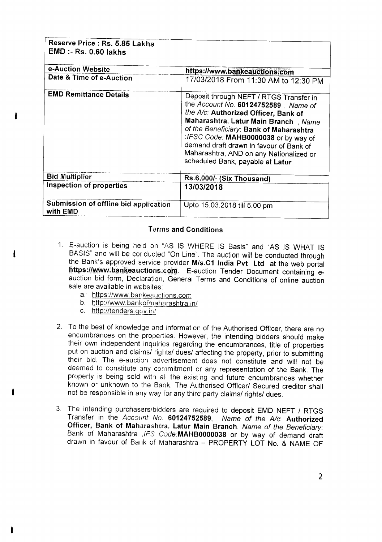| Reserve Price : Rs. 5.85 Lakhs<br><b>EMD :- Rs. 0.60 lakhs</b> |                                                                                                                                                                                                                                                                                                                                                                              |
|----------------------------------------------------------------|------------------------------------------------------------------------------------------------------------------------------------------------------------------------------------------------------------------------------------------------------------------------------------------------------------------------------------------------------------------------------|
| e-Auction Website                                              | https://www.bankeauctions.com                                                                                                                                                                                                                                                                                                                                                |
| Date & Time of e-Auction                                       | 17/03/2018 From 11:30 AM to 12:30 PM                                                                                                                                                                                                                                                                                                                                         |
| <b>EMD Remittance Details</b>                                  | Deposit through NEFT / RTGS Transfer in<br>the Account No. 60124752589, Name of<br>the A/c: Authorized Officer, Bank of<br>Maharashtra, Latur Main Branch, Name<br>of the Beneficiary: Bank of Maharashtra<br>:IFSC Code: MAHB0000038 or by way of<br>demand draft drawn in favour of Bank of<br>Maharashtra, AND on any Nationalized or<br>scheduled Bank, payable at Latur |
| <b>Bid Multiplier</b>                                          | Rs.6,000/- (Six Thousand)                                                                                                                                                                                                                                                                                                                                                    |
| Inspection of properties                                       | 13/03/2018                                                                                                                                                                                                                                                                                                                                                                   |
| Submission of offline bid application<br>with EMD              | Upto 15.03.2018 till 5.00 pm                                                                                                                                                                                                                                                                                                                                                 |

#### Terms and Conditions

- 1. E-auction is being held on "AS IS WHERE IS Basis" and "AS IS WHAT IS BASIS" and will be conducted "On Line". The auction will be conducted through the Bank's approved service provider M/s.C1 India Pvt Ltd at the web portal https://www.bankeauctions.com. E-auction Tender Document containing eauction bid form, Declaration, General Terms and Conditions of online auction sale are available in websites:
	- a. https://www.bankeauctions.com
	- b. http://www.bankofmaharashtra.in/
	- c. http://tenders.gcv.in/
- 2. To the best of knowledge and information of the Authorised Officer, there are no encumbrances on the properties. However, the intending bidders should make their own independent inquiries regarding the encumbrances, title of properties put on auction and claims/ rights/ dues/ affecting the property, prior to submitting their bid. The e-auction advertisement does not constitute and will not be deemed to constitute any commitment or any representation of the Bank. The property is being sold with all the existing and future encumbrances whether known or unknown to the Bank. The Authorised Officer/ Secured creditor shall not be responsible in any way for any third party claims/ rights/ dues.
- 3. The intending purchasers/bidders are required to deposit EMD NEFT / RTGS Transfer in the *Account No.* 60124752589, *Name of the Alc:* Authorized Officer, Bank of Maharashtra, Latur Main Branch, *Name of the Beneficiary:* Bank of Maharashtra *,1FS* Code:MAHB0000038 or by way of demand draft drawn in favour of Bank of Maharashtra - PROPERTY LOT No. & NAME OF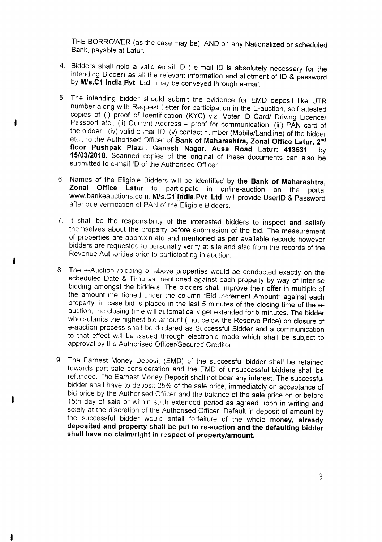THE BORROWER (as the case may be), AND on any Nationalized or scheduled Bank, payable at Latur.

- 4. Bidders shall hold a valid email 10 ( e-mail 10 is absolutely necessary for the intending Bidder) as ali the relevant information and allotment of 10 & password by M/s.C1 India Pvt Ltd may be conveyed through e-mail.
- 5. The intending bidder should submit the evidence for EMD deposit like UTR number along with Request Letter for participation in the E-auction, self attested copies of (i) proof of Identification (KYC) viz. Voter 10 Card/ Driving Licence/ Passport etc., (ii) Current Address - proof for communication, (iii) PAN card of the bidder, (iv) valid e-mail ID, (v) contact number (Mobile/Landline) of the bidder etc., to the Authorised Officer of Bank of Maharashtra, Zonal Office Latur, 2<sup>nd</sup> floor Pushpak Plaza, Ganesh Nagar, Ausa Road Latur: 413531 by 15/03/2018. Scanned copies of the original of these documents can also be submitted to e-mail ID of the Authorised Officer.
- 6. Names of the Eligible Bidders will be identified by the Bank of Maharashtra, Zonal Office Latur to participate in online-auction on the portal www.bankeauctions.com. M/s.C1 India Pvt Ltd will provide UserID & Password after due verification of PAN of the Eligible Bidders.
- 7. It shall be the responsibility of the interested bidders to inspect and satisfy themselves about the property before submission of the bid. The measurement of properties are approximate and mentioned as per available records however bidders are requested to personally verify at site and also from the records of the Revenue Authorities prior to participating in auction.
- 8. The e-Auction /bidding of above properties would be conducted exactly on the scheduled Date & Time as mentioned against each property by way of inter-se bidding amongst the bidders. The bidders shall improve their offer in multiple of the amount mentioned under the column "Bid Increment Amount" against each property. In case bid is placed in the last 5 minutes of the closing time of the eauction, the closing time will automatically get extended for 5 minutes. The bidder who submits the highest bid amount ( not below the Reserve Price) on closure of e-auction process shall be declared as Successful Bidder and a communication to that effect will be issued through electronic mode which shall be subject to approval by the Authorised Officer/Secured Creditor.
- 9. The Earnest Money Deposit (EMD) of the successful bidder shall be retained towards part sale consideration and the EMD of unsuccessful bidders shall be refunded. The Earnest Money Deposit shall not bear any interest. The successful bidder shall have to deposit 25% of the sale price, immediately on acceptance of bid price by the Authorised Officer and the balance of the sale price on or before 15th day of sale or within such extended period as agreed upon in writing and solely at the discretion of the Authorised Officer. Default in deposit of amount by the successful bidder would entail forfeiture of the whole money, already deposited and property shall be put to re-auction and the defaulting bidder shall have no claim/right in respect of property/amount.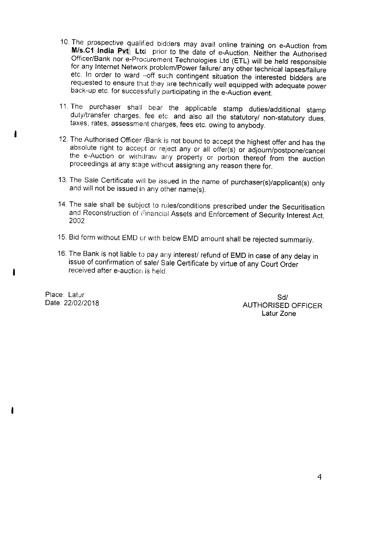- 10. The prospective gualified bidders may avail online training on e-Auction from **M/s.C1 India Pvt** Ltd prior to the date of e-Auction. Neither the Authorised Officer/Bank nor e-Procurement Technologies Ltd (ETL) will be held responsible for any Internet Network problem/Power failure/ any other technical lapses/failure etc. In order to ward -off such contingent situation the interested bidders are requested to ensure that they are technically well equipped with adequate power back-up etc. for successfully participating in the e-Auction event.
- 11. The purchaser shall bear the applicable stamp duties/additional stamp duty/transfer charges, fee etc. and also all the statutory/ non-statutory dues, taxes, rates, assessment charges, fees etc. owing to anybody .
- 12. The Authorised Officer /Bank is not bound to accept the highest offer and has the absolute right to accept or reject any or all offer(s) or adjourn/postpone/cancel the e-Auction or withdraw any property or portion thereof from the auction proceedings at any stage without assigning any reason there for.
- 13. The Sale Certificate will be issued in the name of purchaser(s)/applicant(s) only and will not be issued in any other name(s).
- 14. The sale shall be subject to rules/conditions prescribed under the Securitisation and Reconstruction of Financial Assets and Enforcement of Security Interest Act, 2002
- 15. Bid form without EMD or with below EMD amount shall be rejected summarily.
- 16. The Bank is not liable to pay any interest/ refund of EMD in case of any delay in issue of confirmation of sale/ Sale Certificate by virtue of any Court Order received after e-auction is held.

Place: Latur Date: 22/02/2018

Sd/ AUTHORISED OFFICER Latur Zone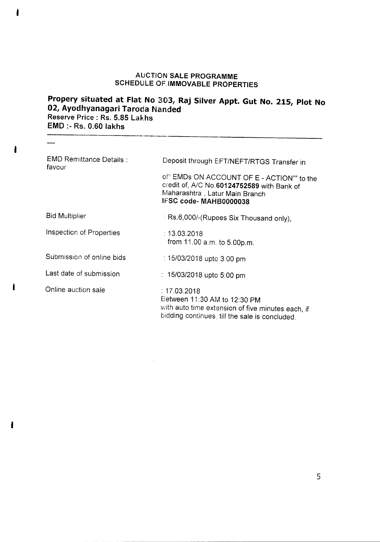## AUCTION SALE PROGRAMME SCHEDULE OF IMMOVABLE PROPERTIES

# Propery situated at Flat No 303, Raj Silver Appt. Gut No. 215, Plot No 02, Ayodhyanagari Taroda Nanded Reserve Price: Rs. 5.85 Lakhs EMD :- Rs. 0.60 lakhs

| <b>EMD Remittance Details:</b><br>favour | Deposit through EFT/NEFT/RTGS Transfer in                                                                                                           |
|------------------------------------------|-----------------------------------------------------------------------------------------------------------------------------------------------------|
|                                          | of" EMDs ON ACCOUNT OF E - ACTION"" to the<br>credit of, A/C No.60124752589 with Bank of<br>Maharashtra, Latur Main Branch<br>IFSC code-MAHB0000038 |
| <b>Bid Multiplier</b>                    | : Rs.6,000/-(Rupees Six Thousand only),                                                                                                             |
| Inspection of Properties                 | : 13.03.2018<br>from 11.00 a.m. to 5.00p.m.                                                                                                         |
| Submission of online bids                | : 15/03/2018 upto 3:00 pm                                                                                                                           |
| Last date of submission                  | : 15/03/2018 upto 5:00 pm                                                                                                                           |
| Online auction sale                      | : 17.03.2018<br>Between 11:30 AM to 12:30 PM<br>with auto time extension of five minutes each, if<br>bidding continues, till the sale is concluded. |

ŧ

ı

 $\overline{\phantom{0}}$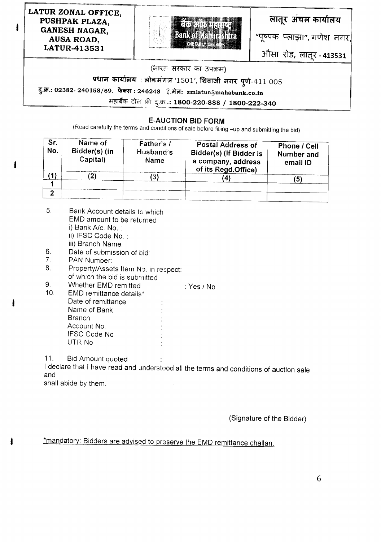LATUR ZONAL OFFICE, PUSHPAK PLAZA, GANESH NAGAR, AUSA ROAD, LATUR-413531

ı



लातूर अंचल कार्यालय

"पूष्पक प्लाझा", गणेश नगर

ओसा रोड, लातूर - 413531

#### (3m mcfiR CfiT 3q *9h<H)*

प्रधान कार्यालय : लोकमंगल '1501', शिवाजी नगर पुणे-411 005<br>...

दु.क्र.: 02382- 240158/59. फैक्स : 246248 ई.मेल: zmlatur@mahabank.co.in

महाबैंक टोल फ्री दु.क्र.**: 1800-220-888 / 1800-222-340** 

#### **E-AUCTION BID FORM**

(Read carefully the terms and conditions of sale before filling -up and submitting the bid)

| Sr.<br>No. | Name of<br>Bidder(s) (in<br>Capital) | Father's /<br>Husband's<br><b>Name</b> | Postal Address of<br>Bidder(s) (If Bidder is<br>a company, address<br>of its Regd.Office) | Phone / Cell<br>Number and<br>email ID |  |
|------------|--------------------------------------|----------------------------------------|-------------------------------------------------------------------------------------------|----------------------------------------|--|
|            |                                      |                                        |                                                                                           | (5)                                    |  |
|            |                                      |                                        |                                                                                           |                                        |  |
| ົ          |                                      |                                        |                                                                                           |                                        |  |

- 5, Bank Account details to which EMD amount to be returned i) Bank *Ale.* No. : ii) IFSC Code No. : iii) Branch Name:
- 6. Date of submission of bid:<br>7. PAN Number:
- PAN Number:
- 8. Property/Assets Item No. in respect: of which the bid is submitted
- 9. Whether EMD remitted  $\begin{array}{ccc} 9. & \text{Whether IMD emitted} \\ 10. & \text{EMD remittance details}^{\star} \end{array}$ : Yes / No
- EMD remittance details\* Date of remittance Name of Bank Branch Account No. IFSC Code No UTR No

11. Bid Amount quoted

I declare that I have read and understood all the terms and conditions of auction sale and

shall abide by them.

(Signature of the Bidder)

\*mandatory: Bidders are advised to preserve the EMD remittance challan.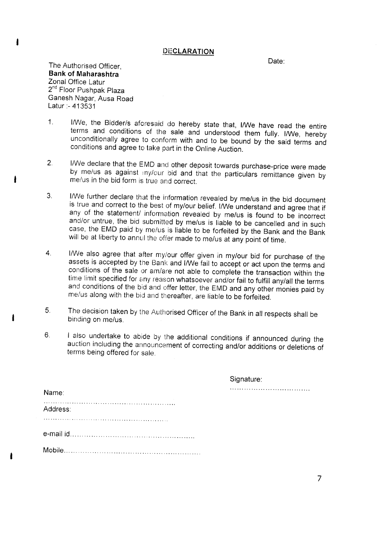#### **PECLARATION**

Date:

The Authorised Officer, **Bank of Maharashtra** Zonal Office Latur 2<sup>nd</sup> Floor Pushpak Plaza Ganesh Nagar, Ausa Road Latur :- 413531

- 1. I/We, the Bidder/s aforesaid do hereby state that, I/We have read the entire terms and conditions of the sale and understood them fully. I/We, hereby unconditionally agree to conform with and to be bound by the said terms and conditions and agree to take part in the Online Auction.
- 2. l!We declare that the EMD and other deposit towards purchase-price were made by me/us as against my/our bid and that the particulars remittance given by me/us in the bid form is true and correct.
- 3. l!We further declare that the information revealed by me/us in the bid document is true and correct to the best of my/our belief. I/We understand and agree that if any of the statement/ information revealed by me/us is found to be incorrect and/or untrue, the bid submitted by me/us is liable to be cancelled and in such case, the EMD paid by me/us is liable to be forfeited by the Bank and the Bank will be at liberty to annul the offer made to me/us at any point of time.
- 4. I/We also agree that after my/our offer given in my/our bid for purchase of the assets is accepted by the Bank and I/We fail to accept or act upon the terms and conditions of the sale or am/are not able to complete the transaction within the time limit specified for any reason whatsoever and/or fail to fulfill any/all the terms and conditions of the bid and offer letter, the EMD and any other monies paid by me/us along with the bid and thereafter, are liable to be forfeited.
- 5. The decision taken by the Authorised Officer of the Bank in all respects shall be binding on me/us.
- 6. I also undertake to abide by the additional conditions if announced during the auction including the announcement of correcting and/or additions or deletions of terms being offered for sale.

|          | Signature: |  |
|----------|------------|--|
| Name:    |            |  |
| Address: |            |  |
|          |            |  |
|          |            |  |
| ------   |            |  |

Mobile .

•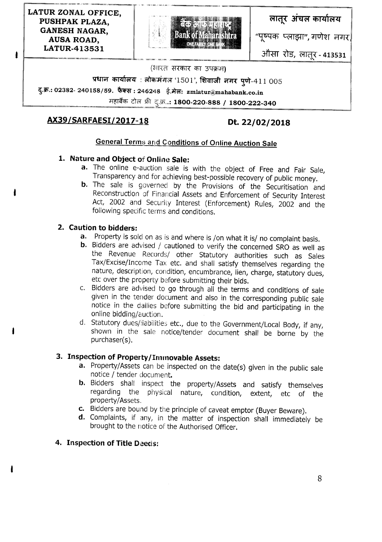LATUR ZONAL OFFICE, PUSHPAK PLAZA, GANESH NAGAR, AUSA ROAD, LATUR-413531

ı



लातूर अंचल कार्यालय

"पुष्पक प्लाझा", गणेश नगर।

औसा रोड, लातूर - 41<mark>353</mark>1 א<br>=

#### (भारत सरकार का उपक्रम)

प्रधान कायालय : लोकमगल '1501', शिवाजी नगर पुणे-411 005

द.क.: 02382- 240158/59. फैक्स: 246248 ई.मेल: zmlatur@mahabank.co.in

~ m ~\_)~::1800-220-888 *I 1800-222-340*

# AX39/SARFAESI/2017-18 Dt. 22/02/2018

## General Terms and Conditions of Online Auction Sale

## 1. Nature and Object of Online Sale:

- a. The online e-auction sale is with the object of Free and Fair Sale, Transparency and for achieving best-possible recovery of public money.
- b. The sale is governed by the Provisions of the Securitisation and Reconstruction of Financial Assets and Enforcement of Security Interest Act, 2002 and Security Interest (Enforcement) Rules, 2002 and the following specific terms and conditions.

## 2. Caution to bidders:

- a. Property is sold on as is and where is /on what it is/ no complaint basis.
- **b.** Bidders are advised / cautioned to verify the concerned SRO as well as the Revenue Records/ other Statutory authorities such as Sales Tax/Excise/Income Tax etc. and shall satisfy themselves regarding the nature, description, condition, encumbrance, lien, charge, statutory dues, etc over the property before submitting their bids.
- c. Bidders are advised to go through all the terms and conditions of sale given in the tender document and also in the corresponding public sale notice in the dailies before submitting the bid and participating in the online bidding/auction.
- d. Statutory dues/liabilities etc., due to the Government/Local Body, if any, shown in the sale notice/tender document shall be borne by the purchaser(s).

# 3. Inspection of Property/Immovable Assets:

- a. Property/Assets can be inspected on the date(s) given in the public sale notice / tender document.
- b. Bidders shall inspect the property/Assets and satisfy themselves regarding the physical nature, condition, extent, etc of the property/Assets.
- c. Bidders are bound by the principle of caveat emptor (Buyer Beware).
- d. Complaints, if any, in the matter of inspection shall immediately be brought to the notice of the Authorised Officer.

## 4. Inspection of Title Deeds: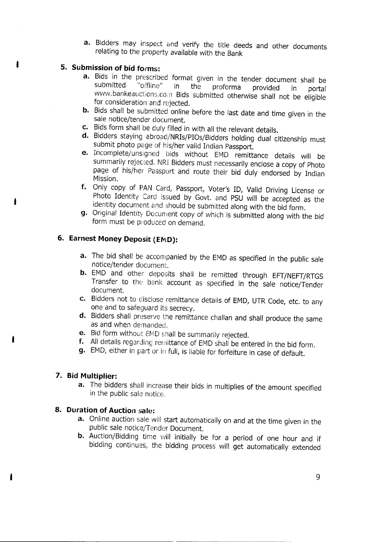**a.** Bidders may inspect and verify the title deeds and other documents relating to the property available with the Bank

## **S. Submission of bid forms:**

- **a.** Bids in the prescribed format given in the tender document shall be submitted "offline" in the proforma provided in portal submitted "offline" in the proforma provided in portal www.bankeauctions.com Bids submitted otherwise shall not be eligible for consideration and rejected.
- **b.** Bids shall be submitted online before the last date and time given in the sale notice/tender document.
- **c.** Bids form shall be duly filled in with all the relevant details.
- **d.** Bidders staying abroad/NRIs/PIOs/Bidders holding dual citizenship must submit photo page of his/her valid Indian Passport.
- **e.** Incomplete/unsigned bids without EMD remittance details will be summarily rejected. NRI Bidders must necessarily enclose a copy of Photo page of his/her Passport and route their bid duly endorsed by Indian Mission.
- **f.** Only copy of PAN Card, Passport, Voter's lO, Valid Driving License or Photo Identity Card issued by Govt. and PSU will be accepted as the identity document and should be submitted along with the bid form.
- **g.** Original Identity Document copy of which is submitted along with the bid form must be produced on demand.

# **6. Earnest Money Deposit (EMD):**

- **a.** The bid shall be accompanied by the EMD as specified in the public sale notice/tender document.
- **b.** EMD and other deposits shall be remitted through EFT/NEFT/RTGS Transfer to the bank account as specified in the sale notice/Tender document.
- **c.** Bidders not to disdose remittance details of EMD, UTR Code, etc. to any one and to safeguard its secrecy.
- **d.** Bidders shall preserve the remittance challan and shall produce the same as and when demanded.
- **e.** Bid form without EMD shall be summarily rejected.
- **f.** All details regarding remittance of EMD shall be entered in the bid form.
- **g.** EMD, either in part or in full, is liable for forfeiture in case of default.

## **7. Bid Multiplier:**

**a.** The bidders shall increase their bids in multiplies of the amount specified in the public sale notice.

## **8. Duration of Auction sale:**

- **a.** Online auction sale will start automatically on and at the time given in the public sale notice/Tender Document.
- **b.** Auction/Bidding time will initially be for a period of one hour and if bidding continues, the bidding process will get automatically extended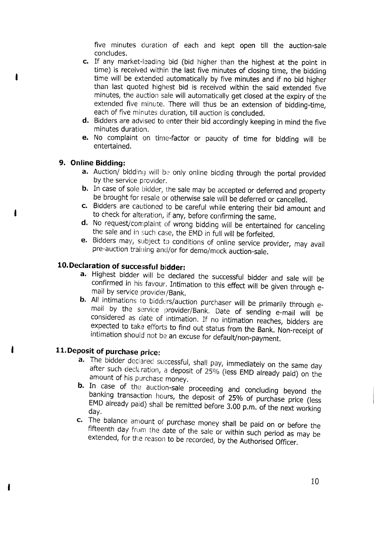five minutes duration of each and kept open till the auction-sale concludes.

- c. If any market-leading bid (bid higher than the highest at the point in time) is received within the last five minutes of closing time, the bidding time will be extended automatically by five minutes and if no bid higher than last quoted highest bid is received within the said extended five minutes, the auction sale will automatically get closed at the expiry of the extended five minute. There will thus be an extension of bidding-time, each of five minutes duration, till auction is concluded.
- d. Bidders are advised to enter their bid accordingly keeping in mind the five minutes duration.
- e. No complaint on time-factor or paucity of time for bidding will be entertained.

#### 9. Online Bidding:

- a. Auction/ bidding will be only online bidding through the portal provided by the service provider.
- b. In case of sole bidder, the sale may be accepted or deferred and property be brought for resale or otherwise sale will be deferred or cancelled.
- c. Bidders are cautioned to be careful while entering their bid amount and to check for alteration, if any, before confirming the same.
- d. No request/complaint of wrong bidding will be entertained for canceling the sale and in such case, the EMD in full will be forfeited.
- e. Bidders may, subject to conditions of online service provider, may avail pre-auction training and/or for demo/mock auction-sale.

# 10.Declaration of successful bidder:

- a. Highest bidder will be declared the successful bidder and sale will be confirmed in his favour. Intimation to this *effect* will be given through email by service provider/Bank.
- b. All intimations to bidders/auction purchaser will be primarily through email by the service provider/Bank. Date of sending e-mail will be considered as date of intimation. If no intimation reaches, bidders are expected to take efforts to find out status from the Bank. Non-receipt of intimation should not be an excuse for default/non-payment.

# 11.Deposit of purchase price:

- a. The bidder declared successful, shall pay, immediately on the same day after such declaration, a deposit of 25% (less EMD already paid) on the amount of his purchase money.
- **b.** In case of the auction-sale proceeding and concluding beyond the banking transaction hours, the deposit of 25% of purchase price (less EMDalready paid) shall be remitted before 3.00 p.m. of the next working day.
- c. The balance amount of purchase money shall be paid on or before the fifteenth day from the date of the sale or within such period as may be extended, for the reason to be recorded, by the Authorised Officer.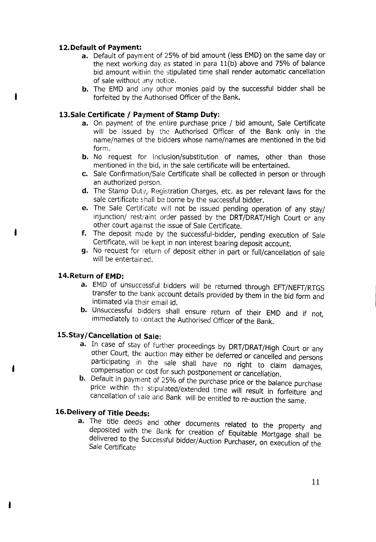#### 12.Default of Payment:

- a. Default of payment of 25% of bid amount (less EMD) on the same day or the next working day as stated in para l1(b) above and 75% of balance bid amount within the stipulated time shall render automatic cancellation of sale without any notice.
- b. The EMD and any other monies paid by the successful bidder shall be forfeited by the Authorised Officer of the Bank.

#### 13.Sale Certificate / Payment of Stamp Duty:

- a. On payment of the entire purchase price / bid amount, Sale Certificate will be issued by the Authorised Officer of the Bank only in the name/names of the bidders whose name/names are mentioned in the bid form.
- **b.** No request for inclusion/substitution of names, other than those mentioned in the bid, in the sale certificate will be entertained.
- c. Sale Confirmation/Sale Certificate shall be collected in person or through an authorized person.
- d. The Stamp Duty, Registration Charges, etc. as per relevant laws for the sale certificate shall be borne by the successful bidder.
- e. The Sale Certificate will not be issued pending operation of any stay/ injunction/ restraint order passed by the DRT/DRAT/High Court or any other court against the issue of Sale Certificate.
- f. The deposit made by the successful-bidder, pending execution of Sale Certificate, will be kept in non interest bearing deposit account.
- g. No request for return of deposit either in part or full/cancellation of sale will be entertained.

#### 14.Return of EMD:

- a. EMD of unsuccessful bidders will be returned through EFT/NEFT/RTGS transfer to the bank account details provided by them in the bid form and intimated via their email id.
- b. Unsuccessful bidders shall ensure return of their EMD and if not, immediately to contact the Authorised Officer of the Bank.

## 15.Stay/Cancellation of Sale:

- a. In case of stay of further proceedings by DRT/DRAT/High Court or any other Court, the auction may either be deferred or cancelled and persons participating in the sale shall have no right to claim damages, compensation or cost for such postponement or cancellation.
- b. Default in payment of 25% of the purchase price or the balance purchase price within the stipulated/extended time will result in forfeiture and cancellation of sale and Bank will be entitled to re-auction the same.

# 16.Delivery of Title Deeds:

a. The title deeds and other documents related to the property and deposited with the Bank for creation of Equitable Mortgage shall be delivered to the Successfulbidder/Auction Purchaser on execution of the Sale Certificate '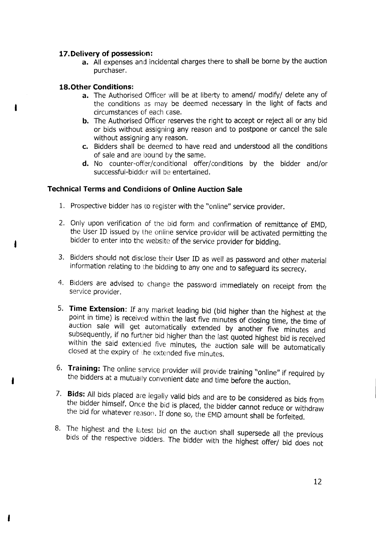#### **17 Delivery of possession: .**

**a.** All expenses and incidental charges there to shall be borne by the auction purchaser.

#### **lS.Other Conditions: .**

- **a.** The Authorised Officer will be at liberty to amend/ modify/ delete any of the conditions as may be deemed necessary in the light of facts and circumstances of each case.
- **b.** The Authorised Officer reserves the right to accept or reject all or any bid or bids without assigning any reason and to postpone or cancel the sale without assigning any reason.
- **c.** Bidders shall be deemed to have read and understood all the conditions of sale and are bound by the same.
- **d.** No counter-offer/conditional offer/conditions by the bidder and/or successful-bidder will be entertained.

## **Technical Terms and Conditions of Online Auction Sale**

- 1. Prospective bidder has to register with the "online" service provider.
- 2. Only upon verification of the bid form and confirmation of remittance of EMD, the User ID issued by the online service provider will be activated permitting the bidder to enter into the website of the service provider for bidding.
- 3. Bidders should not disclose their User ID as well as password and other material information relating to the bidding to anyone and to safeguard its secrecy.
- 4. Bidders are advised to change the password immediately on receipt from the service provider.
- 5. **Time Extension:** If any market leading bid (bid higher than the highest at the point in time) is received within the last five minutes of closing time, the time of auction sale will get automatically extended by another five minutes and subsequently, if no further bid higher than the last quoted highest bid is received within the said extended five minutes, the auction sale will be automatically closed at the expiry of the extended five minutes.
- 6. **Training:** The online service provider will provide training "online" if required by the bidders at a mutually convenient date and time before the auction.
- 7. **Bids:** All bids placed are legally valid bids and are to be considered as bids from the bidder himself. Once the bid is placed, the bidder cannot reduce or withdraw the bid for whatever reason. If done so, the EMD amount shall be forfeited.
- S. The highest and the latest bid on the auction shall supersede all the previous bids of the respective bidders. The bidder with the highest offer/ bid does not